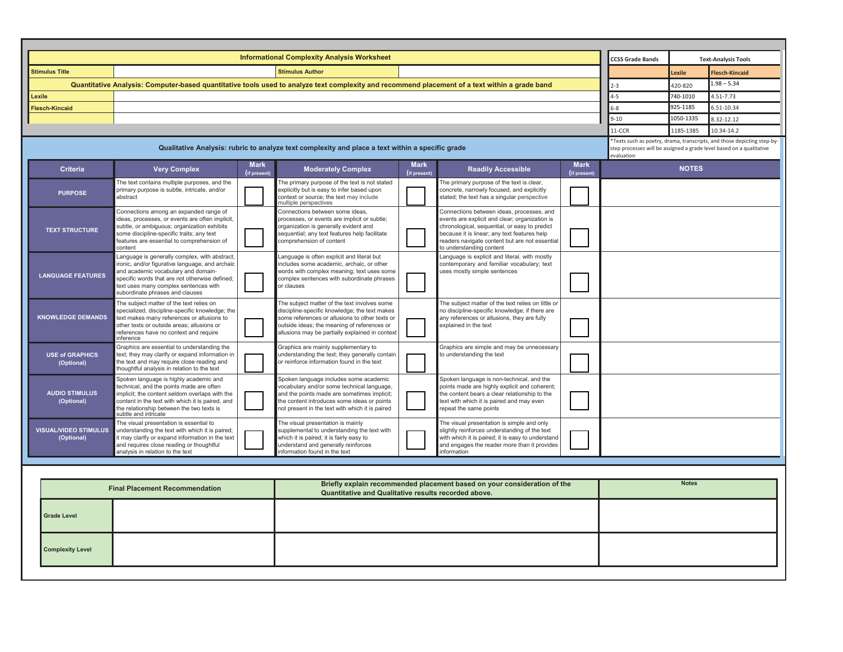|                                                                                                  | <b>Informational Complexity Analysis Worksheet</b>                                                                                                                                                                                                                    |                             |                                                                                                                                                                                                                                                   |                             |                                                                                                                                                                                                                                                                            |                             | <b>CCSS Grade Bands</b> | <b>Text-Analysis Tools</b>                                                                                                                                    |                       |  |  |
|--------------------------------------------------------------------------------------------------|-----------------------------------------------------------------------------------------------------------------------------------------------------------------------------------------------------------------------------------------------------------------------|-----------------------------|---------------------------------------------------------------------------------------------------------------------------------------------------------------------------------------------------------------------------------------------------|-----------------------------|----------------------------------------------------------------------------------------------------------------------------------------------------------------------------------------------------------------------------------------------------------------------------|-----------------------------|-------------------------|---------------------------------------------------------------------------------------------------------------------------------------------------------------|-----------------------|--|--|
| <b>Stimulus Title</b>                                                                            |                                                                                                                                                                                                                                                                       | <b>Stimulus Author</b>      |                                                                                                                                                                                                                                                   |                             |                                                                                                                                                                                                                                                                            |                             |                         | Lexile                                                                                                                                                        | <b>Flesch-Kincaid</b> |  |  |
|                                                                                                  | Quantitative Analysis: Computer-based quantitative tools used to analyze text complexity and recommend placement of a text within a grade band                                                                                                                        |                             |                                                                                                                                                                                                                                                   |                             |                                                                                                                                                                                                                                                                            |                             | $2 - 3$                 | 420-820                                                                                                                                                       | $1.98 - 5.34$         |  |  |
| Lexile                                                                                           |                                                                                                                                                                                                                                                                       |                             |                                                                                                                                                                                                                                                   |                             |                                                                                                                                                                                                                                                                            |                             | $4 - 5$                 | 740-1010                                                                                                                                                      | 4.51-7.73             |  |  |
| <b>Flesch-Kincaid</b>                                                                            |                                                                                                                                                                                                                                                                       |                             |                                                                                                                                                                                                                                                   |                             |                                                                                                                                                                                                                                                                            |                             | $6 - 8$                 | 925-1185                                                                                                                                                      | 6.51-10.34            |  |  |
|                                                                                                  |                                                                                                                                                                                                                                                                       |                             |                                                                                                                                                                                                                                                   |                             |                                                                                                                                                                                                                                                                            |                             | $9 - 10$                | 1050-1335                                                                                                                                                     | 8.32-12.12            |  |  |
|                                                                                                  |                                                                                                                                                                                                                                                                       |                             |                                                                                                                                                                                                                                                   |                             |                                                                                                                                                                                                                                                                            |                             | 11-CCR                  | 1185-1385                                                                                                                                                     | 10.34-14.2            |  |  |
| Qualitative Analysis: rubric to analyze text complexity and place a text within a specific grade |                                                                                                                                                                                                                                                                       |                             |                                                                                                                                                                                                                                                   |                             |                                                                                                                                                                                                                                                                            |                             |                         | *Texts such as poetry, drama, transcripts, and those depicting step-by-<br>step processes will be assigned a grade level based on a qualitative<br>evaluation |                       |  |  |
| <b>Criteria</b>                                                                                  | <b>Very Complex</b>                                                                                                                                                                                                                                                   | <b>Mark</b><br>(if present) | <b>Moderately Complex</b>                                                                                                                                                                                                                         | <b>Mark</b><br>(if present) | <b>Readily Accessible</b>                                                                                                                                                                                                                                                  | <b>Mark</b><br>(if present) |                         | <b>NOTES</b>                                                                                                                                                  |                       |  |  |
| <b>PURPOSE</b>                                                                                   | The text contains multiple purposes, and the<br>primary purpose is subtle, intricate, and/or<br>abstract                                                                                                                                                              |                             | The primary purpose of the text is not stated<br>explicitly but is easy to infer based upon<br>context or source; the text may include<br>nultiple perspectives                                                                                   |                             | The primary purpose of the text is clear,<br>concrete, narrowly focused, and explicitly<br>stated; the text has a singular perspective                                                                                                                                     |                             |                         |                                                                                                                                                               |                       |  |  |
| <b>TEXT STRUCTURE</b>                                                                            | Connections among an expanded range of<br>ideas, processes, or events are often implicit,<br>subtle, or ambiguous; organization exhibits<br>some discipline-specific traits; any text<br>features are essential to comprehension of<br>content                        |                             | Connections between some ideas,<br>processes, or events are implicit or subtle;<br>organization is generally evident and<br>sequential; any text features help facilitate<br>comprehension of content                                             |                             | Connections between ideas, processes, and<br>events are explicit and clear; organization is<br>chronological, sequential, or easy to predict<br>because it is linear; any text features help<br>readers navigate content but are not essential<br>to understanding content |                             |                         |                                                                                                                                                               |                       |  |  |
| <b>LANGUAGE FEATURES</b>                                                                         | Language is generally complex, with abstract,<br>ironic, and/or figurative language, and archaic<br>and academic vocabulary and domain-<br>specific words that are not otherwise defined;<br>text uses many complex sentences with<br>subordinate phrases and clauses |                             | anguage is often explicit and literal but<br>ncludes some academic, archaic, or other<br>words with complex meaning; text uses some<br>complex sentences with subordinate phrases<br>or clauses                                                   |                             | Language is explicit and literal, with mostly<br>contemporary and familiar vocabulary; text<br>uses mostly simple sentences                                                                                                                                                |                             |                         |                                                                                                                                                               |                       |  |  |
| <b>KNOWLEDGE DEMANDS</b>                                                                         | The subject matter of the text relies on<br>specialized, discipline-specific knowledge; the<br>text makes many references or allusions to<br>other texts or outside areas; allusions or<br>references have no context and require<br>inference                        |                             | The subject matter of the text involves some<br>discipline-specific knowledge; the text makes<br>some references or allusions to other texts or<br>outside ideas; the meaning of references or<br>allusions may be partially explained in context |                             | The subject matter of the text relies on little or<br>no discipline-specific knowledge; if there are<br>any references or allusions, they are fully<br>explained in the text                                                                                               |                             |                         |                                                                                                                                                               |                       |  |  |
| <b>USE of GRAPHICS</b><br>(Optional)                                                             | Graphics are essential to understanding the<br>text; they may clarify or expand information in<br>the text and may require close reading and<br>thoughtful analysis in relation to the text                                                                           |                             | Graphics are mainly supplementary to<br>understanding the text; they generally contain<br>or reinforce information found in the text                                                                                                              |                             | Graphics are simple and may be unnecessary<br>to understanding the text                                                                                                                                                                                                    |                             |                         |                                                                                                                                                               |                       |  |  |
| <b>AUDIO STIMULUS</b><br>(Optional)                                                              | Spoken language is highly academic and<br>technical, and the points made are often<br>implicit; the content seldom overlaps with the<br>content in the text with which it is paired, and<br>the relationship between the two texts is<br>subtle and intricate         |                             | Spoken language includes some academic<br>vocabulary and/or some technical language,<br>and the points made are sometimes implicit;<br>the content introduces some ideas or points<br>not present in the text with which it is paired             |                             | Spoken language is non-technical, and the<br>points made are highly explicit and coherent;<br>the content bears a clear relationship to the<br>text with which it is paired and may even<br>repeat the same points                                                         |                             |                         |                                                                                                                                                               |                       |  |  |
| <b>VISUAL/VIDEO STIMULUS</b><br>(Optional)                                                       | The visual presentation is essential to<br>understanding the text with which it is paired;<br>it may clarify or expand information in the text<br>and requires close reading or thoughtful<br>analysis in relation to the text                                        |                             | The visual presentation is mainly<br>supplemental to understanding the text with<br>which it is paired; it is fairly easy to<br>understand and generally reinforces<br>nformation found in the text                                               |                             | The visual presentation is simple and only<br>slightly reinforces understanding of the text<br>with which it is paired; it is easy to understand<br>and engages the reader more than it provides<br>information                                                            |                             |                         |                                                                                                                                                               |                       |  |  |
|                                                                                                  |                                                                                                                                                                                                                                                                       |                             |                                                                                                                                                                                                                                                   |                             |                                                                                                                                                                                                                                                                            |                             |                         |                                                                                                                                                               |                       |  |  |
|                                                                                                  |                                                                                                                                                                                                                                                                       |                             |                                                                                                                                                                                                                                                   |                             |                                                                                                                                                                                                                                                                            |                             |                         |                                                                                                                                                               |                       |  |  |
|                                                                                                  | <b>Final Placement Recommendation</b>                                                                                                                                                                                                                                 |                             | Briefly explain recommended placement based on your consideration of the<br>Quantitative and Qualitative results recorded above.                                                                                                                  |                             | <b>Notes</b>                                                                                                                                                                                                                                                               |                             |                         |                                                                                                                                                               |                       |  |  |
| <b>Grade Level</b>                                                                               |                                                                                                                                                                                                                                                                       |                             |                                                                                                                                                                                                                                                   |                             |                                                                                                                                                                                                                                                                            |                             |                         |                                                                                                                                                               |                       |  |  |
| <b>Complexity Level</b>                                                                          |                                                                                                                                                                                                                                                                       |                             |                                                                                                                                                                                                                                                   |                             |                                                                                                                                                                                                                                                                            |                             |                         |                                                                                                                                                               |                       |  |  |